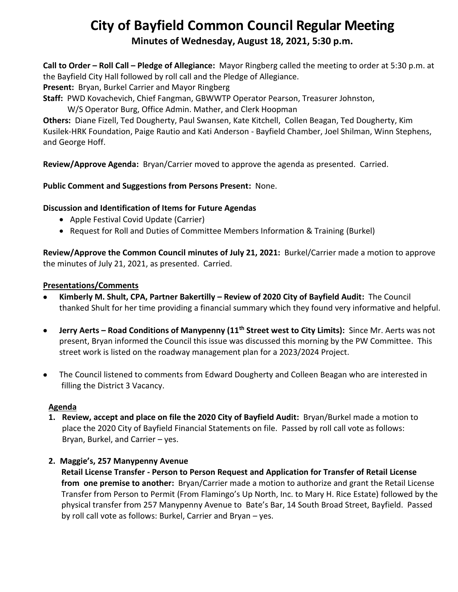# **City of Bayfield Common Council Regular Meeting Minutes of Wednesday, August 18, 2021, 5:30 p.m.**

**Call to Order – Roll Call – Pledge of Allegiance:** Mayor Ringberg called the meeting to order at 5:30 p.m. at the Bayfield City Hall followed by roll call and the Pledge of Allegiance.

**Present:** Bryan, Burkel Carrier and Mayor Ringberg

**Staff:** PWD Kovachevich, Chief Fangman, GBWWTP Operator Pearson, Treasurer Johnston,

W/S Operator Burg, Office Admin. Mather, and Clerk Hoopman

**Others:** Diane Fizell, Ted Dougherty, Paul Swansen, Kate Kitchell, Collen Beagan, Ted Dougherty, Kim Kusilek-HRK Foundation, Paige Rautio and Kati Anderson - Bayfield Chamber, Joel Shilman, Winn Stephens, and George Hoff.

**Review/Approve Agenda:** Bryan/Carrier moved to approve the agenda as presented. Carried.

## **Public Comment and Suggestions from Persons Present:** None.

## **Discussion and Identification of Items for Future Agendas**

- Apple Festival Covid Update (Carrier)
- Request for Roll and Duties of Committee Members Information & Training (Burkel)

**Review/Approve the Common Council minutes of July 21, 2021:** Burkel/Carrier made a motion to approve the minutes of July 21, 2021, as presented. Carried.

#### **Presentations/Comments**

- **Kimberly M. Shult, CPA, Partner Bakertilly – Review of 2020 City of Bayfield Audit:** The Council thanked Shult for her time providing a financial summary which they found very informative and helpful.
- **Jerry Aerts – Road Conditions of Manypenny (11th Street west to City Limits):** Since Mr. Aerts was not present, Bryan informed the Council this issue was discussed this morning by the PW Committee. This street work is listed on the roadway management plan for a 2023/2024 Project.
- The Council listened to comments from Edward Dougherty and Colleen Beagan who are interested in filling the District 3 Vacancy.

#### **Agenda**

**1. Review, accept and place on file the 2020 City of Bayfield Audit:** Bryan/Burkel made a motion to place the 2020 City of Bayfield Financial Statements on file. Passed by roll call vote as follows: Bryan, Burkel, and Carrier – yes.

# **2. Maggie's, 257 Manypenny Avenue**

 **Retail License Transfer - Person to Person Request and Application for Transfer of Retail License from one premise to another:** Bryan/Carrier made a motion to authorize and grant the Retail License Transfer from Person to Permit (From Flamingo's Up North, Inc. to Mary H. Rice Estate) followed by the physical transfer from 257 Manypenny Avenue to Bate's Bar, 14 South Broad Street, Bayfield. Passed by roll call vote as follows: Burkel, Carrier and Bryan – yes.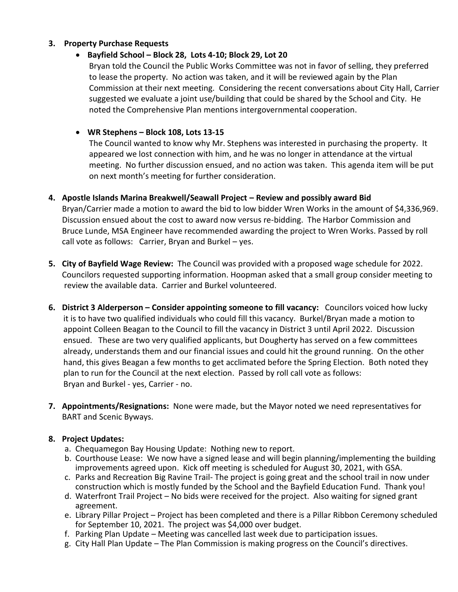#### **3. Property Purchase Requests**

#### • **Bayfield School – Block 28, Lots 4-10; Block 29, Lot 20**

Bryan told the Council the Public Works Committee was not in favor of selling, they preferred to lease the property. No action was taken, and it will be reviewed again by the Plan Commission at their next meeting. Considering the recent conversations about City Hall, Carrier suggested we evaluate a joint use/building that could be shared by the School and City. He noted the Comprehensive Plan mentions intergovernmental cooperation.

#### • **WR Stephens – Block 108, Lots 13-15**

The Council wanted to know why Mr. Stephens was interested in purchasing the property. It appeared we lost connection with him, and he was no longer in attendance at the virtual meeting. No further discussion ensued, and no action was taken. This agenda item will be put on next month's meeting for further consideration.

# **4. Apostle Islands Marina Breakwell/Seawall Project – Review and possibly award Bid**

 Bryan/Carrier made a motion to award the bid to low bidder Wren Works in the amount of \$4,336,969. Discussion ensued about the cost to award now versus re-bidding. The Harbor Commission and Bruce Lunde, MSA Engineer have recommended awarding the project to Wren Works. Passed by roll call vote as follows: Carrier, Bryan and Burkel – yes.

- **5. City of Bayfield Wage Review:** The Council was provided with a proposed wage schedule for 2022. Councilors requested supporting information. Hoopman asked that a small group consider meeting to review the available data. Carrier and Burkel volunteered.
- **6. District 3 Alderperson – Consider appointing someone to fill vacancy:** Councilors voiced how lucky it is to have two qualified individuals who could fill this vacancy. Burkel/Bryan made a motion to appoint Colleen Beagan to the Council to fill the vacancy in District 3 until April 2022. Discussion ensued. These are two very qualified applicants, but Dougherty has served on a few committees already, understands them and our financial issues and could hit the ground running. On the other hand, this gives Beagan a few months to get acclimated before the Spring Election. Both noted they plan to run for the Council at the next election. Passed by roll call vote as follows: Bryan and Burkel - yes, Carrier - no.
- **7. Appointments/Resignations:** None were made, but the Mayor noted we need representatives for BART and Scenic Byways.

#### **8. Project Updates:**

- a. Chequamegon Bay Housing Update: Nothing new to report.
- b. Courthouse Lease: We now have a signed lease and will begin planning/implementing the building improvements agreed upon. Kick off meeting is scheduled for August 30, 2021, with GSA.
- c. Parks and Recreation Big Ravine Trail- The project is going great and the school trail in now under construction which is mostly funded by the School and the Bayfield Education Fund. Thank you!
- d. Waterfront Trail Project No bids were received for the project. Also waiting for signed grant agreement.
- e. Library Pillar Project Project has been completed and there is a Pillar Ribbon Ceremony scheduled for September 10, 2021. The project was \$4,000 over budget.
- f. Parking Plan Update Meeting was cancelled last week due to participation issues.
- g. City Hall Plan Update The Plan Commission is making progress on the Council's directives.